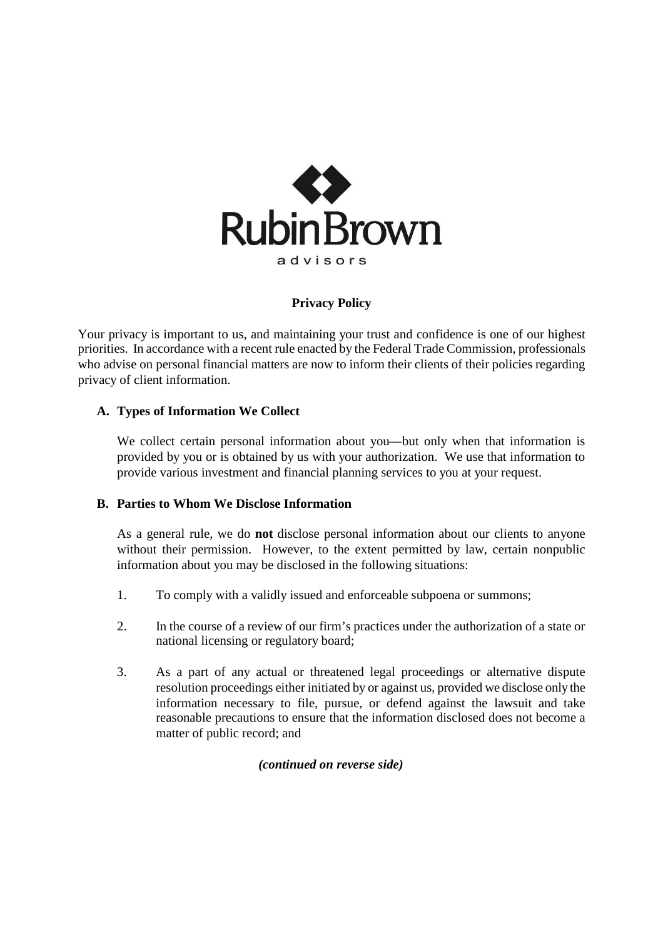

# **Privacy Policy**

Your privacy is important to us, and maintaining your trust and confidence is one of our highest priorities. In accordance with a recent rule enacted by the Federal Trade Commission, professionals who advise on personal financial matters are now to inform their clients of their policies regarding privacy of client information.

# **A. Types of Information We Collect**

We collect certain personal information about you—but only when that information is provided by you or is obtained by us with your authorization. We use that information to provide various investment and financial planning services to you at your request.

# **B. Parties to Whom We Disclose Information**

As a general rule, we do **not** disclose personal information about our clients to anyone without their permission. However, to the extent permitted by law, certain nonpublic information about you may be disclosed in the following situations:

- 1. To comply with a validly issued and enforceable subpoena or summons;
- 2. In the course of a review of our firm's practices under the authorization of a state or national licensing or regulatory board;
- 3. As a part of any actual or threatened legal proceedings or alternative dispute resolution proceedings either initiated by or against us, provided we disclose only the information necessary to file, pursue, or defend against the lawsuit and take reasonable precautions to ensure that the information disclosed does not become a matter of public record; and

*(continued on reverse side)*